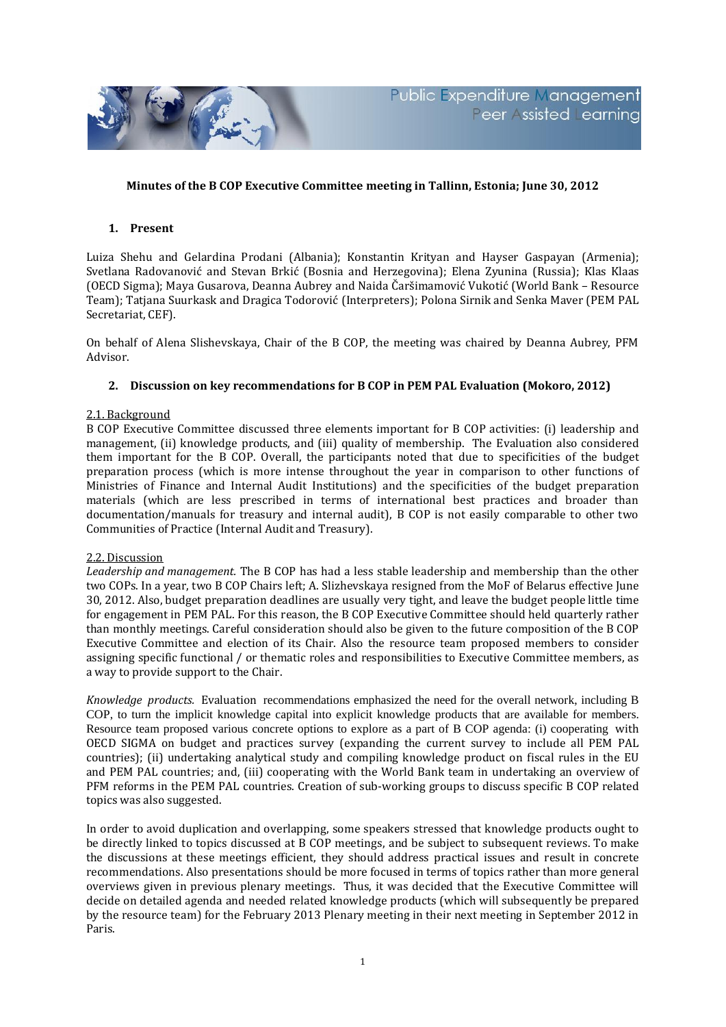

# **Minutes of the B COP Executive Committee meeting in Tallinn, Estonia; June 30, 2012**

## **1. Present**

Luiza Shehu and Gelardina Prodani (Albania); Konstantin Krityan and Hayser Gaspayan (Armenia); Svetlana Radovanović and Stevan Brkić (Bosnia and Herzegovina); Elena Zyunina (Russia); Klas Klaas (OECD Sigma); Maya Gusarova, Deanna Aubrey and Naida Čaršimamović Vukotić (World Bank – Resource Team); Tatjana Suurkask and Dragica Todorović (Interpreters); Polona Sirnik and Senka Maver (PEM PAL Secretariat, CEF).

On behalf of Alena Slishevskaya, Chair of the B COP, the meeting was chaired by Deanna Aubrey, PFM Advisor.

# **2. Discussion on key recommendations for B COP in PEM PAL Evaluation (Mokoro, 2012)**

### 2.1. Background

B COP Executive Committee discussed three elements important for B COP activities: (i) leadership and management, (ii) knowledge products, and (iii) quality of membership. The Evaluation also considered them important for the B COP. Overall, the participants noted that due to specificities of the budget preparation process (which is more intense throughout the year in comparison to other functions of Ministries of Finance and Internal Audit Institutions) and the specificities of the budget preparation materials (which are less prescribed in terms of international best practices and broader than documentation/manuals for treasury and internal audit), B COP is not easily comparable to other two Communities of Practice (Internal Audit and Treasury).

### 2.2. Discussion

*Leadership and management.* The B COP has had a less stable leadership and membership than the other two COPs. In a year, two B COP Chairs left; A. Slizhevskaya resigned from the MoF of Belarus effective June 30, 2012. Also, budget preparation deadlines are usually very tight, and leave the budget people little time for engagement in PEM PAL. For this reason, the B COP Executive Committee should held quarterly rather than monthly meetings. Careful consideration should also be given to the future composition of the B COP Executive Committee and election of its Chair. Also the resource team proposed members to consider assigning specific functional / or thematic roles and responsibilities to Executive Committee members, as a way to provide support to the Chair.

*Knowledge products.* Evaluation recommendations emphasized the need for the overall network, including B COP, to turn the implicit knowledge capital into explicit knowledge products that are available for members. Resource team proposed various concrete options to explore as a part of B COP agenda: (i) cooperating with OECD SIGMA on budget and practices survey (expanding the current survey to include all PEM PAL countries); (ii) undertaking analytical study and compiling knowledge product on fiscal rules in the EU and PEM PAL countries; and, (iii) cooperating with the World Bank team in undertaking an overview of PFM reforms in the PEM PAL countries. Creation of sub-working groups to discuss specific B COP related topics was also suggested.

In order to avoid duplication and overlapping, some speakers stressed that knowledge products ought to be directly linked to topics discussed at B COP meetings, and be subject to subsequent reviews. To make the discussions at these meetings efficient, they should address practical issues and result in concrete recommendations. Also presentations should be more focused in terms of topics rather than more general overviews given in previous plenary meetings. Thus, it was decided that the Executive Committee will decide on detailed agenda and needed related knowledge products (which will subsequently be prepared by the resource team) for the February 2013 Plenary meeting in their next meeting in September 2012 in Paris.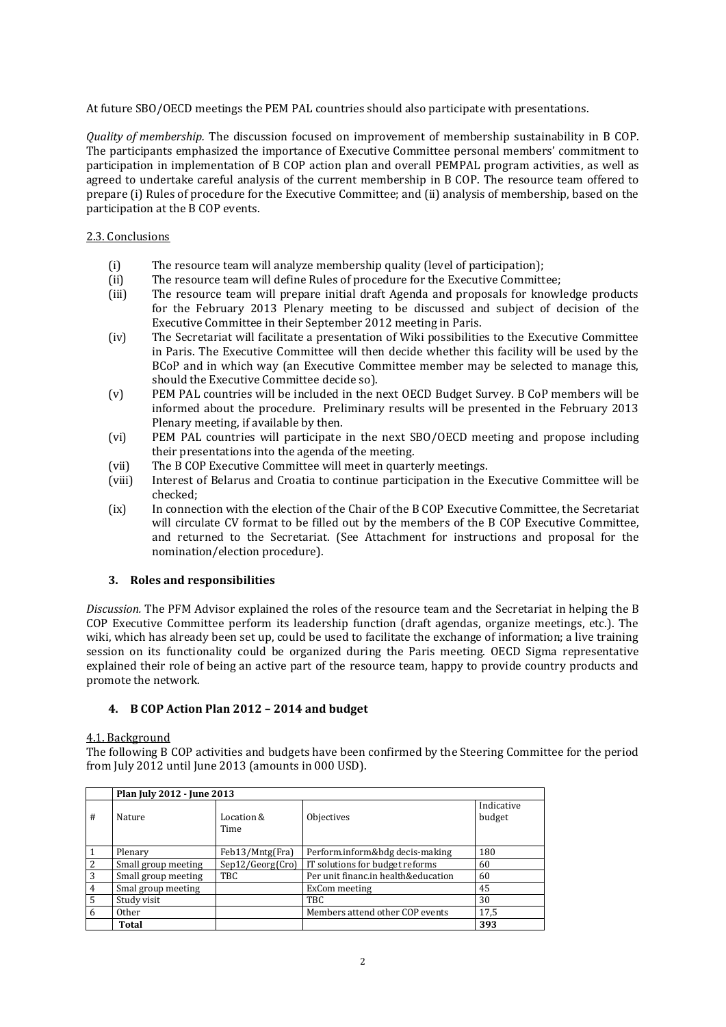At future SBO/OECD meetings the PEM PAL countries should also participate with presentations.

*Quality of membership.* The discussion focused on improvement of membership sustainability in B COP. The participants emphasized the importance of Executive Committee personal members' commitment to participation in implementation of B COP action plan and overall PEMPAL program activities, as well as agreed to undertake careful analysis of the current membership in B COP. The resource team offered to prepare (i) Rules of procedure for the Executive Committee; and (ii) analysis of membership, based on the participation at the B COP events.

## 2.3. Conclusions

- (i) The resource team will analyze membership quality (level of participation);
- (ii) The resource team will define Rules of procedure for the Executive Committee;
- (iii) The resource team will prepare initial draft Agenda and proposals for knowledge products for the February 2013 Plenary meeting to be discussed and subject of decision of the Executive Committee in their September 2012 meeting in Paris.
- (iv) The Secretariat will facilitate a presentation of Wiki possibilities to the Executive Committee in Paris. The Executive Committee will then decide whether this facility will be used by the BCoP and in which way (an Executive Committee member may be selected to manage this, should the Executive Committee decide so).
- (v) PEM PAL countries will be included in the next OECD Budget Survey. B CoP members will be informed about the procedure. Preliminary results will be presented in the February 2013 Plenary meeting, if available by then.
- (vi) PEM PAL countries will participate in the next SBO/OECD meeting and propose including their presentations into the agenda of the meeting.
- (vii) The B COP Executive Committee will meet in quarterly meetings.
- (viii) Interest of Belarus and Croatia to continue participation in the Executive Committee will be checked;
- (ix) In connection with the election of the Chair of the B COP Executive Committee, the Secretariat will circulate CV format to be filled out by the members of the B COP Executive Committee, and returned to the Secretariat. (See Attachment for instructions and proposal for the nomination/election procedure).

### **3. Roles and responsibilities**

*Discussion.* The PFM Advisor explained the roles of the resource team and the Secretariat in helping the B COP Executive Committee perform its leadership function (draft agendas, organize meetings, etc.). The wiki, which has already been set up, could be used to facilitate the exchange of information; a live training session on its functionality could be organized during the Paris meeting. OECD Sigma representative explained their role of being an active part of the resource team, happy to provide country products and promote the network.

# **4. B COP Action Plan 2012 – 2014 and budget**

### 4.1. Background

The following B COP activities and budgets have been confirmed by the Steering Committee for the period from July 2012 until June 2013 (amounts in 000 USD).

|                | Plan July 2012 - June 2013 |                    |                                     |                      |  |
|----------------|----------------------------|--------------------|-------------------------------------|----------------------|--|
| #              | Nature                     | Location &<br>Time | Objectives                          | Indicative<br>budget |  |
|                | Plenary                    | Feb13/Mntg(Fra)    | Perform.inform&bdg decis-making     | 180                  |  |
| $\overline{2}$ | Small group meeting        | Sep12/Georg(Cro)   | IT solutions for budget reforms     | 60                   |  |
| 3              | Small group meeting        | TBC                | Per unit financ.in health&education | 60                   |  |
| 4              | Smal group meeting         |                    | ExCom meeting                       | 45                   |  |
| 5              | Study visit                |                    | TBC.                                | 30                   |  |
| 6              | 0 <sub>ther</sub>          |                    | Members attend other COP events     | 17,5                 |  |
|                | Total                      |                    |                                     | 393                  |  |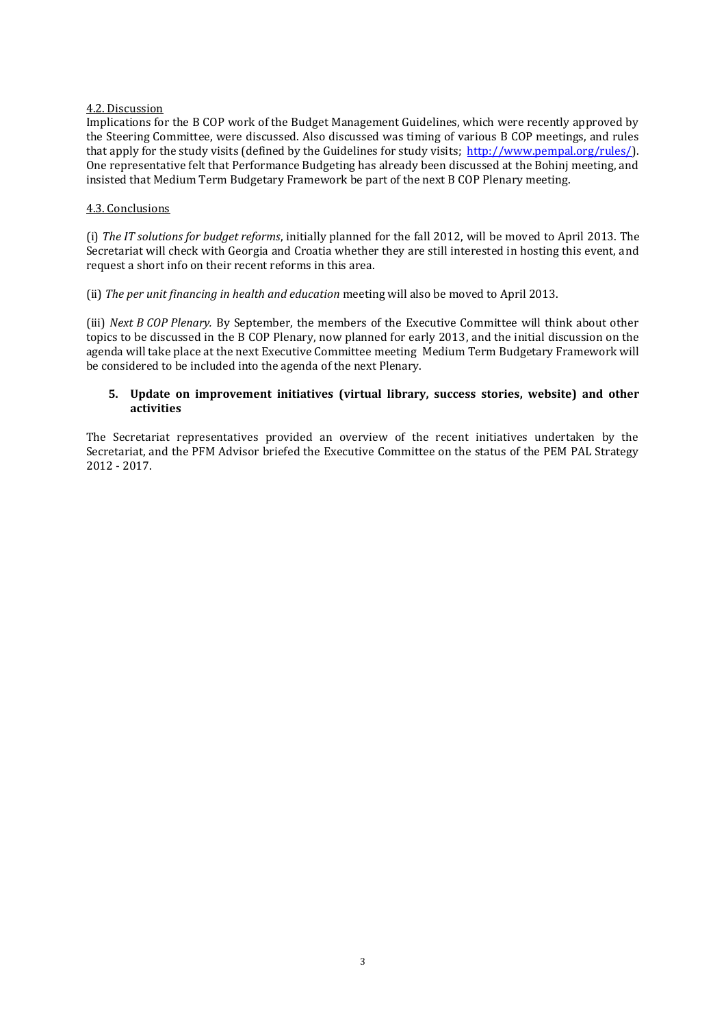## 4.2. Discussion

Implications for the B COP work of the Budget Management Guidelines, which were recently approved by the Steering Committee, were discussed. Also discussed was timing of various B COP meetings, and rules that apply for the study visits (defined by the Guidelines for study visits; [http://www.pempal.org/rules/\)](http://www.pempal.org/rules/). One representative felt that Performance Budgeting has already been discussed at the Bohinj meeting, and insisted that Medium Term Budgetary Framework be part of the next B COP Plenary meeting.

### 4.3. Conclusions

(i) *The IT solutions for budget reforms*, initially planned for the fall 2012, will be moved to April 2013. The Secretariat will check with Georgia and Croatia whether they are still interested in hosting this event, and request a short info on their recent reforms in this area.

(ii) *The per unit financing in health and education* meeting will also be moved to April 2013.

(iii) *Next B COP Plenary.* By September, the members of the Executive Committee will think about other topics to be discussed in the B COP Plenary, now planned for early 2013, and the initial discussion on the agenda will take place at the next Executive Committee meeting Medium Term Budgetary Framework will be considered to be included into the agenda of the next Plenary.

## **5. Update on improvement initiatives (virtual library, success stories, website) and other activities**

The Secretariat representatives provided an overview of the recent initiatives undertaken by the Secretariat, and the PFM Advisor briefed the Executive Committee on the status of the PEM PAL Strategy 2012 - 2017.